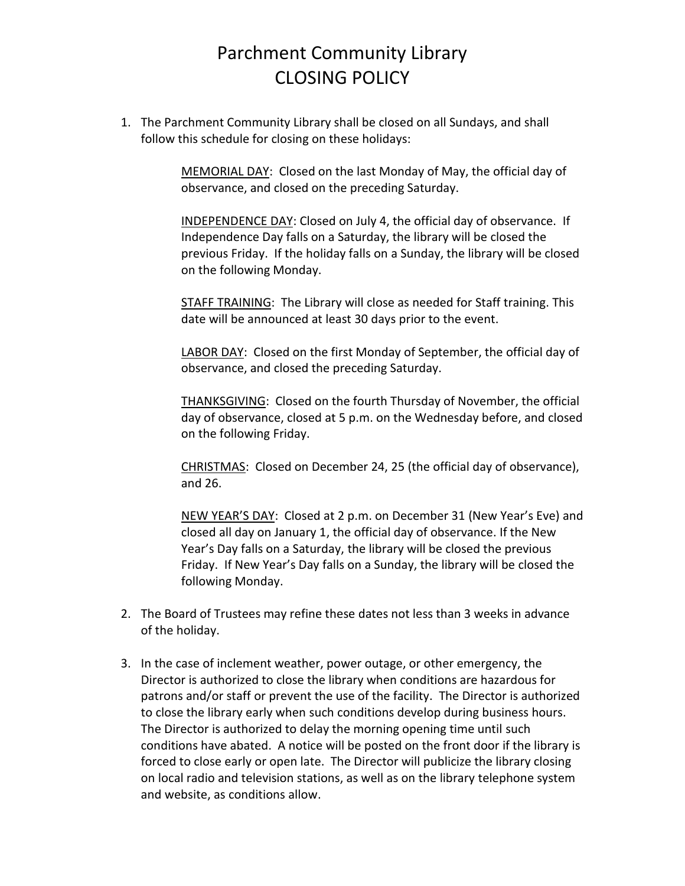## Parchment Community Library CLOSING POLICY

1. The Parchment Community Library shall be closed on all Sundays, and shall follow this schedule for closing on these holidays:

> MEMORIAL DAY: Closed on the last Monday of May, the official day of observance, and closed on the preceding Saturday.

INDEPENDENCE DAY: Closed on July 4, the official day of observance. If Independence Day falls on a Saturday, the library will be closed the previous Friday. If the holiday falls on a Sunday, the library will be closed on the following Monday.

STAFF TRAINING: The Library will close as needed for Staff training. This date will be announced at least 30 days prior to the event.

LABOR DAY: Closed on the first Monday of September, the official day of observance, and closed the preceding Saturday.

THANKSGIVING: Closed on the fourth Thursday of November, the official day of observance, closed at 5 p.m. on the Wednesday before, and closed on the following Friday.

CHRISTMAS: Closed on December 24, 25 (the official day of observance), and 26.

NEW YEAR'S DAY: Closed at 2 p.m. on December 31 (New Year's Eve) and closed all day on January 1, the official day of observance. If the New Year's Day falls on a Saturday, the library will be closed the previous Friday. If New Year's Day falls on a Sunday, the library will be closed the following Monday.

- 2. The Board of Trustees may refine these dates not less than 3 weeks in advance of the holiday.
- 3. In the case of inclement weather, power outage, or other emergency, the Director is authorized to close the library when conditions are hazardous for patrons and/or staff or prevent the use of the facility. The Director is authorized to close the library early when such conditions develop during business hours. The Director is authorized to delay the morning opening time until such conditions have abated. A notice will be posted on the front door if the library is forced to close early or open late. The Director will publicize the library closing on local radio and television stations, as well as on the library telephone system and website, as conditions allow.